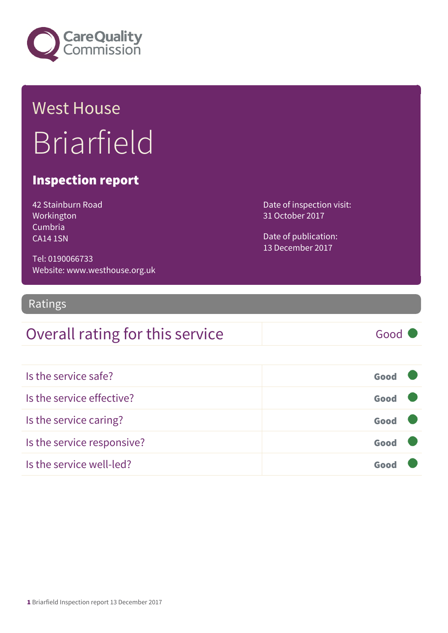

## West House Briarfield

#### Inspection report

42 Stainburn Road Workington Cumbria CA14 1SN

Tel: 0190066733 Website: www.westhouse.org.uk

#### Ratings

#### Overall rating for this service Good

| Is the service safe?       | Good |  |
|----------------------------|------|--|
| Is the service effective?  | Good |  |
| Is the service caring?     | Good |  |
| Is the service responsive? | Good |  |
| Is the service well-led?   | Goo  |  |

Date of inspection visit: 31 October 2017

Date of publication: 13 December 2017

1 Briarfield Inspection report 13 December 2017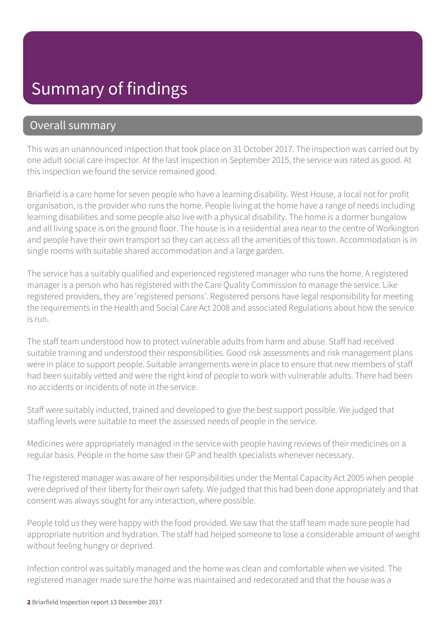#### Summary of findings

#### Overall summary

This was an unannounced inspection that took place on 31 October 2017. The inspection was carried out by one adult social care inspector. At the last inspection in September 2015, the service was rated as good. At this inspection we found the service remained good.

Briarfield is a care home for seven people who have a learning disability. West House, a local not for profit organisation, is the provider who runs the home. People living at the home have a range of needs including learning disabilities and some people also live with a physical disability. The home is a dormer bungalow and all living space is on the ground floor. The house is in a residential area near to the centre of Workington and people have their own transport so they can access all the amenities of this town. Accommodation is in single rooms with suitable shared accommodation and a large garden.

The service has a suitably qualified and experienced registered manager who runs the home. A registered manager is a person who has registered with the Care Quality Commission to manage the service. Like registered providers, they are 'registered persons'. Registered persons have legal responsibility for meeting the requirements in the Health and Social Care Act 2008 and associated Regulations about how the service is run.

The staff team understood how to protect vulnerable adults from harm and abuse. Staff had received suitable training and understood their responsibilities. Good risk assessments and risk management plans were in place to support people. Suitable arrangements were in place to ensure that new members of staff had been suitably vetted and were the right kind of people to work with vulnerable adults. There had been no accidents or incidents of note in the service.

Staff were suitably inducted, trained and developed to give the best support possible. We judged that staffing levels were suitable to meet the assessed needs of people in the service.

Medicines were appropriately managed in the service with people having reviews of their medicines on a regular basis. People in the home saw their GP and health specialists whenever necessary.

The registered manager was aware of her responsibilities under the Mental Capacity Act 2005 when people were deprived of their liberty for their own safety. We judged that this had been done appropriately and that consent was always sought for any interaction, where possible.

People told us they were happy with the food provided. We saw that the staff team made sure people had appropriate nutrition and hydration. The staff had helped someone to lose a considerable amount of weight without feeling hungry or deprived.

Infection control was suitably managed and the home was clean and comfortable when we visited. The registered manager made sure the home was maintained and redecorated and that the house was a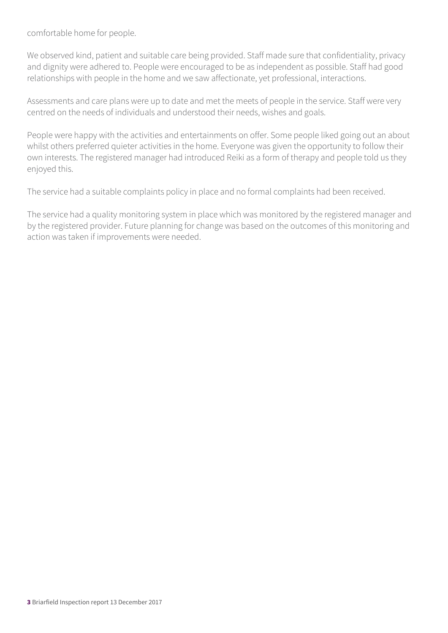comfortable home for people.

We observed kind, patient and suitable care being provided. Staff made sure that confidentiality, privacy and dignity were adhered to. People were encouraged to be as independent as possible. Staff had good relationships with people in the home and we saw affectionate, yet professional, interactions.

Assessments and care plans were up to date and met the meets of people in the service. Staff were very centred on the needs of individuals and understood their needs, wishes and goals.

People were happy with the activities and entertainments on offer. Some people liked going out an about whilst others preferred quieter activities in the home. Everyone was given the opportunity to follow their own interests. The registered manager had introduced Reiki as a form of therapy and people told us they enjoyed this.

The service had a suitable complaints policy in place and no formal complaints had been received.

The service had a quality monitoring system in place which was monitored by the registered manager and by the registered provider. Future planning for change was based on the outcomes of this monitoring and action was taken if improvements were needed.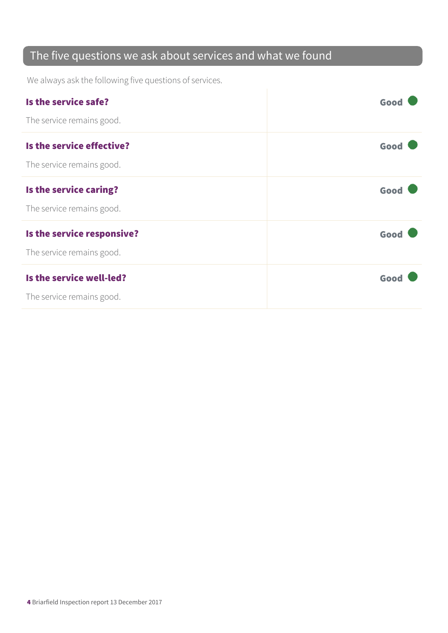#### The five questions we ask about services and what we found

We always ask the following five questions of services.

| Is the service safe?       | Good |
|----------------------------|------|
| The service remains good.  |      |
| Is the service effective?  | Good |
| The service remains good.  |      |
| Is the service caring?     | Good |
| The service remains good.  |      |
| Is the service responsive? | Good |
| The service remains good.  |      |
| Is the service well-led?   | Good |
| The service remains good.  |      |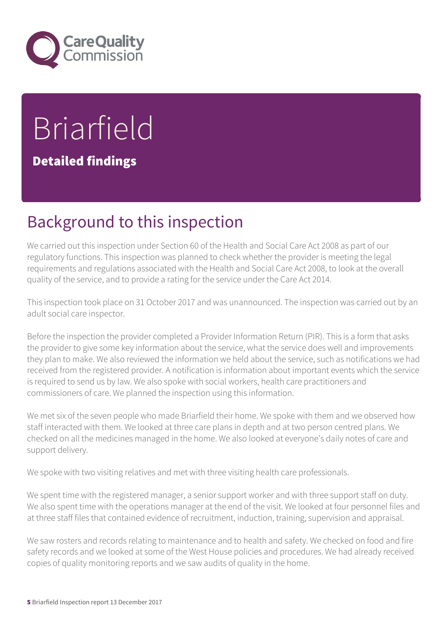

# Briarfield

Detailed findings

#### Background to this inspection

We carried out this inspection under Section 60 of the Health and Social Care Act 2008 as part of our regulatory functions. This inspection was planned to check whether the provider is meeting the legal requirements and regulations associated with the Health and Social Care Act 2008, to look at the overall quality of the service, and to provide a rating for the service under the Care Act 2014.

This inspection took place on 31 October 2017 and was unannounced. The inspection was carried out by an adult social care inspector.

Before the inspection the provider completed a Provider Information Return (PIR). This is a form that asks the provider to give some key information about the service, what the service does well and improvements they plan to make. We also reviewed the information we held about the service, such as notifications we had received from the registered provider. A notification is information about important events which the service is required to send us by law. We also spoke with social workers, health care practitioners and commissioners of care. We planned the inspection using this information.

We met six of the seven people who made Briarfield their home. We spoke with them and we observed how staff interacted with them. We looked at three care plans in depth and at two person centred plans. We checked on all the medicines managed in the home. We also looked at everyone's daily notes of care and support delivery.

We spoke with two visiting relatives and met with three visiting health care professionals.

We spent time with the registered manager, a senior support worker and with three support staff on duty. We also spent time with the operations manager at the end of the visit. We looked at four personnel files and at three staff files that contained evidence of recruitment, induction, training, supervision and appraisal.

We saw rosters and records relating to maintenance and to health and safety. We checked on food and fire safety records and we looked at some of the West House policies and procedures. We had already received copies of quality monitoring reports and we saw audits of quality in the home.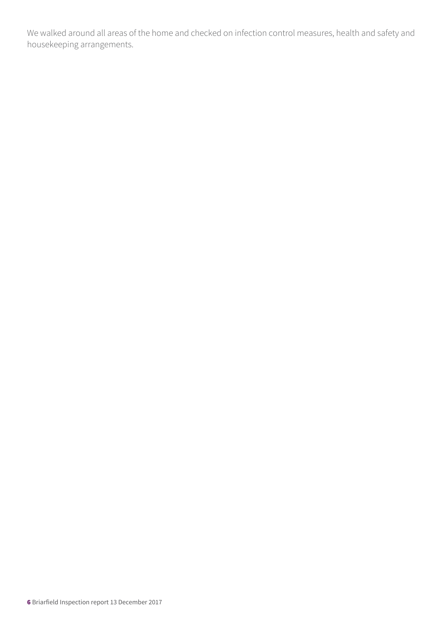We walked around all areas of the home and checked on infection control measures, health and safety and housekeeping arrangements.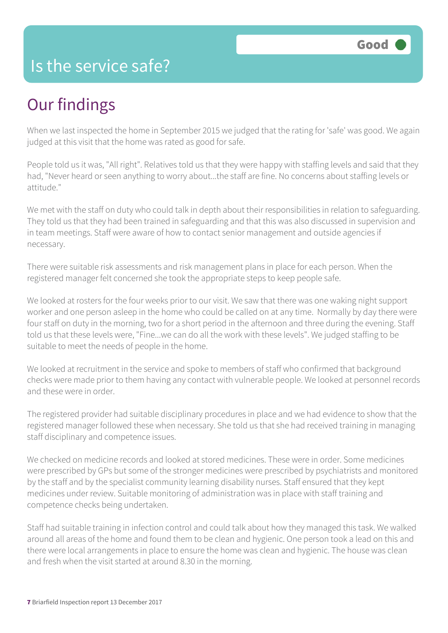#### Is the service safe?

#### Our findings

When we last inspected the home in September 2015 we judged that the rating for 'safe' was good. We again judged at this visit that the home was rated as good for safe.

People told us it was, "All right". Relatives told us that they were happy with staffing levels and said that they had, "Never heard or seen anything to worry about...the staff are fine. No concerns about staffing levels or attitude."

We met with the staff on duty who could talk in depth about their responsibilities in relation to safeguarding. They told us that they had been trained in safeguarding and that this was also discussed in supervision and in team meetings. Staff were aware of how to contact senior management and outside agencies if necessary.

There were suitable risk assessments and risk management plans in place for each person. When the registered manager felt concerned she took the appropriate steps to keep people safe.

We looked at rosters for the four weeks prior to our visit. We saw that there was one waking night support worker and one person asleep in the home who could be called on at any time. Normally by day there were four staff on duty in the morning, two for a short period in the afternoon and three during the evening. Staff told us that these levels were, "Fine...we can do all the work with these levels". We judged staffing to be suitable to meet the needs of people in the home.

We looked at recruitment in the service and spoke to members of staff who confirmed that background checks were made prior to them having any contact with vulnerable people. We looked at personnel records and these were in order.

The registered provider had suitable disciplinary procedures in place and we had evidence to show that the registered manager followed these when necessary. She told us that she had received training in managing staff disciplinary and competence issues.

We checked on medicine records and looked at stored medicines. These were in order. Some medicines were prescribed by GPs but some of the stronger medicines were prescribed by psychiatrists and monitored by the staff and by the specialist community learning disability nurses. Staff ensured that they kept medicines under review. Suitable monitoring of administration was in place with staff training and competence checks being undertaken.

Staff had suitable training in infection control and could talk about how they managed this task. We walked around all areas of the home and found them to be clean and hygienic. One person took a lead on this and there were local arrangements in place to ensure the home was clean and hygienic. The house was clean and fresh when the visit started at around 8.30 in the morning.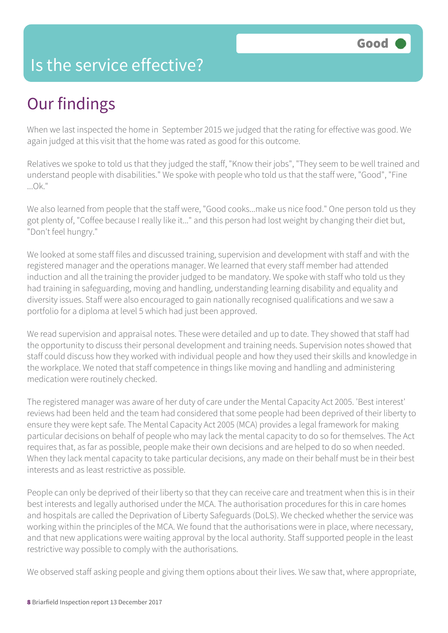#### Is the service effective?

## Our findings

When we last inspected the home in September 2015 we judged that the rating for effective was good. We again judged at this visit that the home was rated as good for this outcome.

Relatives we spoke to told us that they judged the staff, "Know their jobs", "They seem to be well trained and understand people with disabilities." We spoke with people who told us that the staff were, "Good", "Fine ...Ok."

We also learned from people that the staff were, "Good cooks...make us nice food." One person told us they got plenty of, "Coffee because I really like it..." and this person had lost weight by changing their diet but, "Don't feel hungry."

We looked at some staff files and discussed training, supervision and development with staff and with the registered manager and the operations manager. We learned that every staff member had attended induction and all the training the provider judged to be mandatory. We spoke with staff who told us they had training in safeguarding, moving and handling, understanding learning disability and equality and diversity issues. Staff were also encouraged to gain nationally recognised qualifications and we saw a portfolio for a diploma at level 5 which had just been approved.

We read supervision and appraisal notes. These were detailed and up to date. They showed that staff had the opportunity to discuss their personal development and training needs. Supervision notes showed that staff could discuss how they worked with individual people and how they used their skills and knowledge in the workplace. We noted that staff competence in things like moving and handling and administering medication were routinely checked.

The registered manager was aware of her duty of care under the Mental Capacity Act 2005. 'Best interest' reviews had been held and the team had considered that some people had been deprived of their liberty to ensure they were kept safe. The Mental Capacity Act 2005 (MCA) provides a legal framework for making particular decisions on behalf of people who may lack the mental capacity to do so for themselves. The Act requires that, as far as possible, people make their own decisions and are helped to do so when needed. When they lack mental capacity to take particular decisions, any made on their behalf must be in their best interests and as least restrictive as possible.

People can only be deprived of their liberty so that they can receive care and treatment when this is in their best interests and legally authorised under the MCA. The authorisation procedures for this in care homes and hospitals are called the Deprivation of Liberty Safeguards (DoLS). We checked whether the service was working within the principles of the MCA. We found that the authorisations were in place, where necessary, and that new applications were waiting approval by the local authority. Staff supported people in the least restrictive way possible to comply with the authorisations.

We observed staff asking people and giving them options about their lives. We saw that, where appropriate,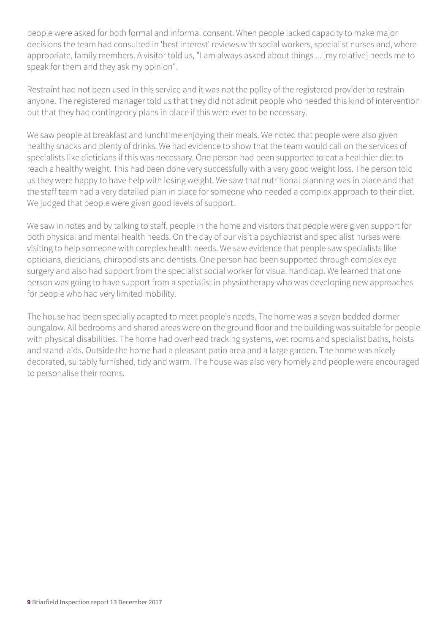people were asked for both formal and informal consent. When people lacked capacity to make major decisions the team had consulted in 'best interest' reviews with social workers, specialist nurses and, where appropriate, family members. A visitor told us, "I am always asked about things ... [my relative] needs me to speak for them and they ask my opinion".

Restraint had not been used in this service and it was not the policy of the registered provider to restrain anyone. The registered manager told us that they did not admit people who needed this kind of intervention but that they had contingency plans in place if this were ever to be necessary.

We saw people at breakfast and lunchtime enjoying their meals. We noted that people were also given healthy snacks and plenty of drinks. We had evidence to show that the team would call on the services of specialists like dieticians if this was necessary. One person had been supported to eat a healthier diet to reach a healthy weight. This had been done very successfully with a very good weight loss. The person told us they were happy to have help with losing weight. We saw that nutritional planning was in place and that the staff team had a very detailed plan in place for someone who needed a complex approach to their diet. We judged that people were given good levels of support.

We saw in notes and by talking to staff, people in the home and visitors that people were given support for both physical and mental health needs. On the day of our visit a psychiatrist and specialist nurses were visiting to help someone with complex health needs. We saw evidence that people saw specialists like opticians, dieticians, chiropodists and dentists. One person had been supported through complex eye surgery and also had support from the specialist social worker for visual handicap. We learned that one person was going to have support from a specialist in physiotherapy who was developing new approaches for people who had very limited mobility.

The house had been specially adapted to meet people's needs. The home was a seven bedded dormer bungalow. All bedrooms and shared areas were on the ground floor and the building was suitable for people with physical disabilities. The home had overhead tracking systems, wet rooms and specialist baths, hoists and stand-aids. Outside the home had a pleasant patio area and a large garden. The home was nicely decorated, suitably furnished, tidy and warm. The house was also very homely and people were encouraged to personalise their rooms.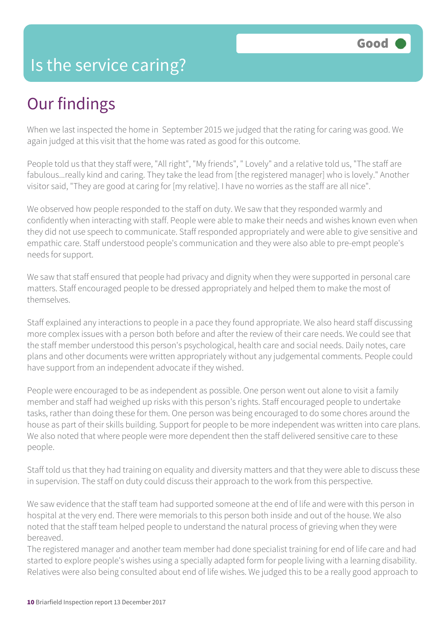#### Is the service caring?

#### Our findings

When we last inspected the home in September 2015 we judged that the rating for caring was good. We again judged at this visit that the home was rated as good for this outcome.

People told us that they staff were, "All right", "My friends", " Lovely" and a relative told us, "The staff are fabulous...really kind and caring. They take the lead from [the registered manager] who is lovely." Another visitor said, "They are good at caring for [my relative]. I have no worries as the staff are all nice".

We observed how people responded to the staff on duty. We saw that they responded warmly and confidently when interacting with staff. People were able to make their needs and wishes known even when they did not use speech to communicate. Staff responded appropriately and were able to give sensitive and empathic care. Staff understood people's communication and they were also able to pre-empt people's needs for support.

We saw that staff ensured that people had privacy and dignity when they were supported in personal care matters. Staff encouraged people to be dressed appropriately and helped them to make the most of themselves.

Staff explained any interactions to people in a pace they found appropriate. We also heard staff discussing more complex issues with a person both before and after the review of their care needs. We could see that the staff member understood this person's psychological, health care and social needs. Daily notes, care plans and other documents were written appropriately without any judgemental comments. People could have support from an independent advocate if they wished.

People were encouraged to be as independent as possible. One person went out alone to visit a family member and staff had weighed up risks with this person's rights. Staff encouraged people to undertake tasks, rather than doing these for them. One person was being encouraged to do some chores around the house as part of their skills building. Support for people to be more independent was written into care plans. We also noted that where people were more dependent then the staff delivered sensitive care to these people.

Staff told us that they had training on equality and diversity matters and that they were able to discuss these in supervision. The staff on duty could discuss their approach to the work from this perspective.

We saw evidence that the staff team had supported someone at the end of life and were with this person in hospital at the very end. There were memorials to this person both inside and out of the house. We also noted that the staff team helped people to understand the natural process of grieving when they were bereaved.

The registered manager and another team member had done specialist training for end of life care and had started to explore people's wishes using a specially adapted form for people living with a learning disability. Relatives were also being consulted about end of life wishes. We judged this to be a really good approach to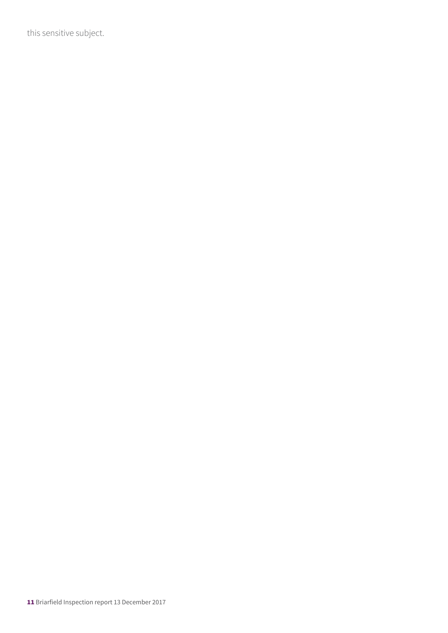this sensitive subject.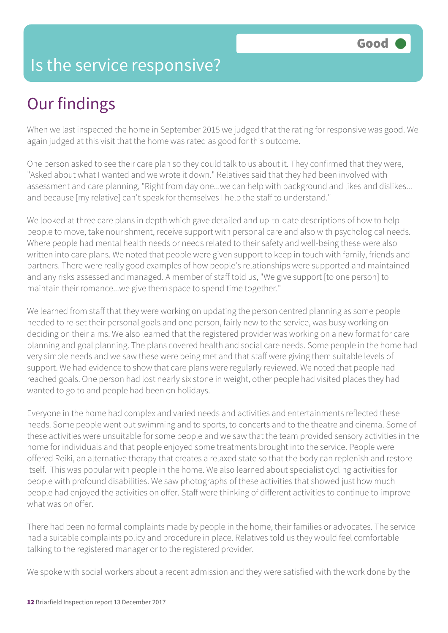#### Is the service responsive?

## Our findings

When we last inspected the home in September 2015 we judged that the rating for responsive was good. We again judged at this visit that the home was rated as good for this outcome.

One person asked to see their care plan so they could talk to us about it. They confirmed that they were, "Asked about what I wanted and we wrote it down." Relatives said that they had been involved with assessment and care planning, "Right from day one...we can help with background and likes and dislikes... and because [my relative] can't speak for themselves I help the staff to understand."

We looked at three care plans in depth which gave detailed and up-to-date descriptions of how to help people to move, take nourishment, receive support with personal care and also with psychological needs. Where people had mental health needs or needs related to their safety and well-being these were also written into care plans. We noted that people were given support to keep in touch with family, friends and partners. There were really good examples of how people's relationships were supported and maintained and any risks assessed and managed. A member of staff told us, "We give support [to one person] to maintain their romance...we give them space to spend time together."

We learned from staff that they were working on updating the person centred planning as some people needed to re-set their personal goals and one person, fairly new to the service, was busy working on deciding on their aims. We also learned that the registered provider was working on a new format for care planning and goal planning. The plans covered health and social care needs. Some people in the home had very simple needs and we saw these were being met and that staff were giving them suitable levels of support. We had evidence to show that care plans were regularly reviewed. We noted that people had reached goals. One person had lost nearly six stone in weight, other people had visited places they had wanted to go to and people had been on holidays.

Everyone in the home had complex and varied needs and activities and entertainments reflected these needs. Some people went out swimming and to sports, to concerts and to the theatre and cinema. Some of these activities were unsuitable for some people and we saw that the team provided sensory activities in the home for individuals and that people enjoyed some treatments brought into the service. People were offered Reiki, an alternative therapy that creates a relaxed state so that the body can replenish and restore itself. This was popular with people in the home. We also learned about specialist cycling activities for people with profound disabilities. We saw photographs of these activities that showed just how much people had enjoyed the activities on offer. Staff were thinking of different activities to continue to improve what was on offer.

There had been no formal complaints made by people in the home, their families or advocates. The service had a suitable complaints policy and procedure in place. Relatives told us they would feel comfortable talking to the registered manager or to the registered provider.

We spoke with social workers about a recent admission and they were satisfied with the work done by the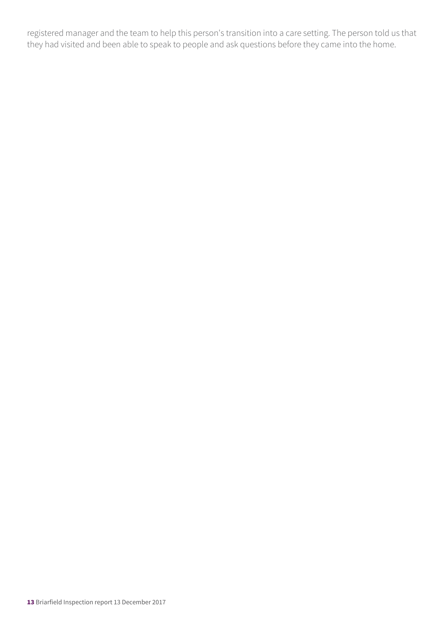registered manager and the team to help this person's transition into a care setting. The person told us that they had visited and been able to speak to people and ask questions before they came into the home.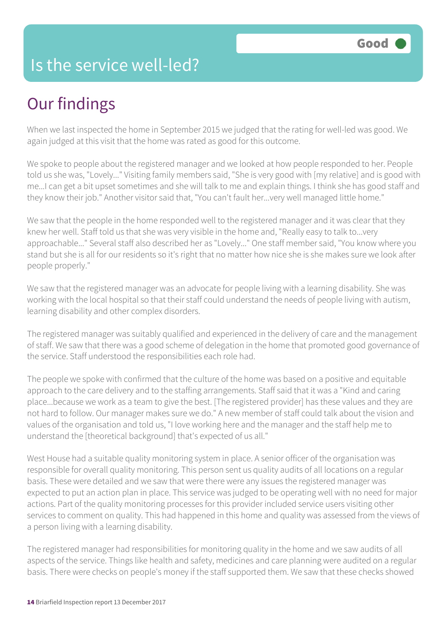#### Is the service well-led?

## Our findings

When we last inspected the home in September 2015 we judged that the rating for well-led was good. We again judged at this visit that the home was rated as good for this outcome.

We spoke to people about the registered manager and we looked at how people responded to her. People told us she was, "Lovely..." Visiting family members said, "She is very good with [my relative] and is good with me...I can get a bit upset sometimes and she will talk to me and explain things. I think she has good staff and they know their job." Another visitor said that, "You can't fault her...very well managed little home."

We saw that the people in the home responded well to the registered manager and it was clear that they knew her well. Staff told us that she was very visible in the home and, "Really easy to talk to...very approachable..." Several staff also described her as "Lovely..." One staff member said, "You know where you stand but she is all for our residents so it's right that no matter how nice she is she makes sure we look after people properly."

We saw that the registered manager was an advocate for people living with a learning disability. She was working with the local hospital so that their staff could understand the needs of people living with autism, learning disability and other complex disorders.

The registered manager was suitably qualified and experienced in the delivery of care and the management of staff. We saw that there was a good scheme of delegation in the home that promoted good governance of the service. Staff understood the responsibilities each role had.

The people we spoke with confirmed that the culture of the home was based on a positive and equitable approach to the care delivery and to the staffing arrangements. Staff said that it was a "Kind and caring place...because we work as a team to give the best. [The registered provider] has these values and they are not hard to follow. Our manager makes sure we do." A new member of staff could talk about the vision and values of the organisation and told us, "I love working here and the manager and the staff help me to understand the [theoretical background] that's expected of us all."

West House had a suitable quality monitoring system in place. A senior officer of the organisation was responsible for overall quality monitoring. This person sent us quality audits of all locations on a regular basis. These were detailed and we saw that were there were any issues the registered manager was expected to put an action plan in place. This service was judged to be operating well with no need for major actions. Part of the quality monitoring processes for this provider included service users visiting other services to comment on quality. This had happened in this home and quality was assessed from the views of a person living with a learning disability.

The registered manager had responsibilities for monitoring quality in the home and we saw audits of all aspects of the service. Things like health and safety, medicines and care planning were audited on a regular basis. There were checks on people's money if the staff supported them. We saw that these checks showed